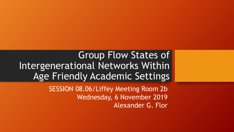Group Flow States of Intergenerational Networks Within Age Friendly Academic Settings

> SESSION 08.06/Liffey Meeting Room 2b Wednesday, 6 November 2019 Alexander G. Flor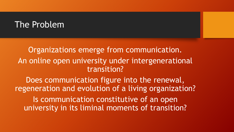### The Problem

Organizations emerge from communication. An online open university under intergenerational transition?

Does communication figure into the renewal, regeneration and evolution of a living organization? Is communication constitutive of an open university in its liminal moments of transition?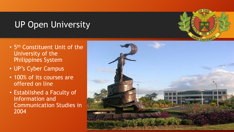# UP Open University

- 5<sup>th</sup> Constituent Unit of the University of the Philippines System
- UP's Cyber Campus
- 100% of its courses are offered on line
- Established a Faculty of Information and Communication Studies in 2004

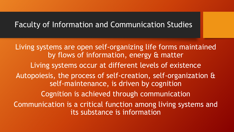#### Faculty of Information and Communication Studies

Living systems are open self-organizing life forms maintained by flows of information, energy & matter Living systems occur at different levels of existence Autopoiesis, the process of self-creation, self-organization & self-maintenance, is driven by cognition Cognition is achieved through communication Communication is a critical function among living systems and its substance is information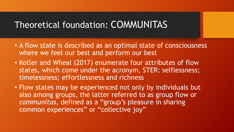# Theoretical foundation: COMMUNITAS

- A flow state is described as an optimal state of consciousness where we feel our best and perform our best
- Kotler and Wheal (2017) enumerate four attributes of flow states, which come under the acronym, STER: selflessness; timelessness; effortlessness and richness
- Flow states may be experienced not only by individuals but also among groups, the latter referred to as group flow or *communitas*, defined as a "group's pleasure in sharing common experiences" or "collective joy"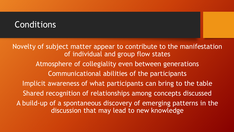### **Conditions**

Novelty of subject matter appear to contribute to the manifestation of individual and group flow states Atmosphere of collegiality even between generations Communicational abilities of the participants Implicit awareness of what participants can bring to the table Shared recognition of relationships among concepts discussed A build-up of a spontaneous discovery of emerging patterns in the discussion that may lead to new knowledge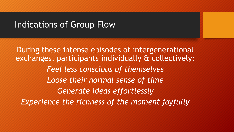### Indications of Group Flow

During these intense episodes of intergenerational exchanges, participants individually & collectively: *Feel less conscious of themselves Loose their normal sense of time Generate ideas effortlessly Experience the richness of the moment joyfully*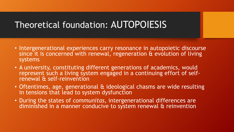# Theoretical foundation: AUTOPOIESIS

- Intergenerational experiences carry resonance in autopoietic discourse since it is concerned with renewal, regeneration & evolution of living systems
- A university, constituting different generations of academics, would represent such a living system engaged in a continuing effort of selfrenewal & self-reinvention
- Oftentimes, age, generational & ideological chasms are wide resulting in tensions that lead to system dysfunction
- During the states of *communitas*, intergenerational differences are diminished in a manner conducive to system renewal & reinvention